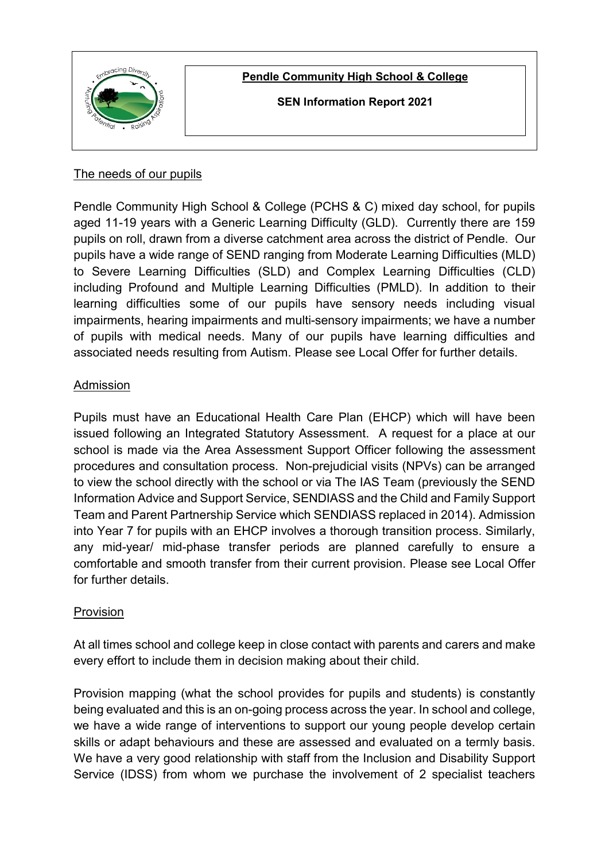

**Pendle Community High School & College**

**SEN Information Report 2021**

# The needs of our pupils

Pendle Community High School & College (PCHS & C) mixed day school, for pupils aged 11-19 years with a Generic Learning Difficulty (GLD). Currently there are 159 pupils on roll, drawn from a diverse catchment area across the district of Pendle. Our pupils have a wide range of SEND ranging from Moderate Learning Difficulties (MLD) to Severe Learning Difficulties (SLD) and Complex Learning Difficulties (CLD) including Profound and Multiple Learning Difficulties (PMLD). In addition to their learning difficulties some of our pupils have sensory needs including visual impairments, hearing impairments and multi-sensory impairments; we have a number of pupils with medical needs. Many of our pupils have learning difficulties and associated needs resulting from Autism. Please see Local Offer for further details.

## Admission

Pupils must have an Educational Health Care Plan (EHCP) which will have been issued following an Integrated Statutory Assessment. A request for a place at our school is made via the Area Assessment Support Officer following the assessment procedures and consultation process. Non-prejudicial visits (NPVs) can be arranged to view the school directly with the school or via The IAS Team (previously the SEND Information Advice and Support Service, SENDIASS and the Child and Family Support Team and Parent Partnership Service which SENDIASS replaced in 2014). Admission into Year 7 for pupils with an EHCP involves a thorough transition process. Similarly, any mid-year/ mid-phase transfer periods are planned carefully to ensure a comfortable and smooth transfer from their current provision. Please see Local Offer for further details.

# Provision

At all times school and college keep in close contact with parents and carers and make every effort to include them in decision making about their child.

Provision mapping (what the school provides for pupils and students) is constantly being evaluated and this is an on-going process across the year. In school and college, we have a wide range of interventions to support our young people develop certain skills or adapt behaviours and these are assessed and evaluated on a termly basis. We have a very good relationship with staff from the Inclusion and Disability Support Service (IDSS) from whom we purchase the involvement of 2 specialist teachers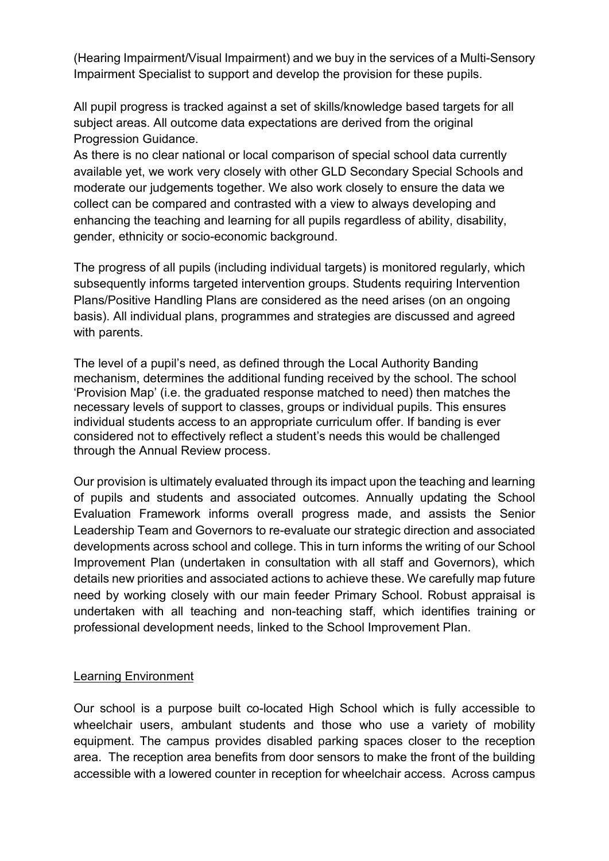(Hearing Impairment/Visual Impairment) and we buy in the services of a Multi-Sensory Impairment Specialist to support and develop the provision for these pupils.

All pupil progress is tracked against a set of skills/knowledge based targets for all subject areas. All outcome data expectations are derived from the original Progression Guidance.

As there is no clear national or local comparison of special school data currently available yet, we work very closely with other GLD Secondary Special Schools and moderate our judgements together. We also work closely to ensure the data we collect can be compared and contrasted with a view to always developing and enhancing the teaching and learning for all pupils regardless of ability, disability, gender, ethnicity or socio-economic background.

The progress of all pupils (including individual targets) is monitored regularly, which subsequently informs targeted intervention groups. Students requiring Intervention Plans/Positive Handling Plans are considered as the need arises (on an ongoing basis). All individual plans, programmes and strategies are discussed and agreed with parents.

The level of a pupil's need, as defined through the Local Authority Banding mechanism, determines the additional funding received by the school. The school 'Provision Map' (i.e. the graduated response matched to need) then matches the necessary levels of support to classes, groups or individual pupils. This ensures individual students access to an appropriate curriculum offer. If banding is ever considered not to effectively reflect a student's needs this would be challenged through the Annual Review process.

Our provision is ultimately evaluated through its impact upon the teaching and learning of pupils and students and associated outcomes. Annually updating the School Evaluation Framework informs overall progress made, and assists the Senior Leadership Team and Governors to re-evaluate our strategic direction and associated developments across school and college. This in turn informs the writing of our School Improvement Plan (undertaken in consultation with all staff and Governors), which details new priorities and associated actions to achieve these. We carefully map future need by working closely with our main feeder Primary School. Robust appraisal is undertaken with all teaching and non-teaching staff, which identifies training or professional development needs, linked to the School Improvement Plan.

## Learning Environment

Our school is a purpose built co-located High School which is fully accessible to wheelchair users, ambulant students and those who use a variety of mobility equipment. The campus provides disabled parking spaces closer to the reception area. The reception area benefits from door sensors to make the front of the building accessible with a lowered counter in reception for wheelchair access. Across campus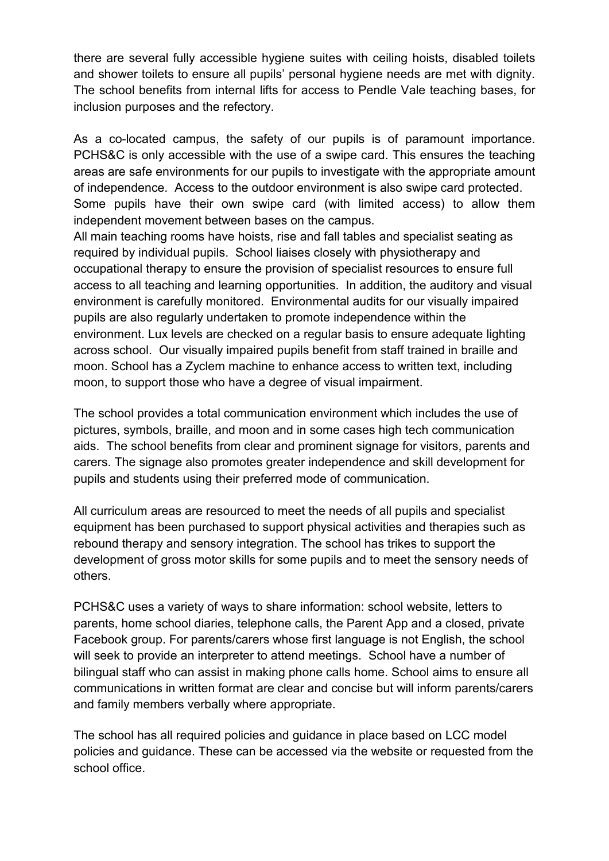there are several fully accessible hygiene suites with ceiling hoists, disabled toilets and shower toilets to ensure all pupils' personal hygiene needs are met with dignity. The school benefits from internal lifts for access to Pendle Vale teaching bases, for inclusion purposes and the refectory.

As a co-located campus, the safety of our pupils is of paramount importance. PCHS&C is only accessible with the use of a swipe card. This ensures the teaching areas are safe environments for our pupils to investigate with the appropriate amount of independence. Access to the outdoor environment is also swipe card protected. Some pupils have their own swipe card (with limited access) to allow them independent movement between bases on the campus.

All main teaching rooms have hoists, rise and fall tables and specialist seating as required by individual pupils. School liaises closely with physiotherapy and occupational therapy to ensure the provision of specialist resources to ensure full access to all teaching and learning opportunities. In addition, the auditory and visual environment is carefully monitored. Environmental audits for our visually impaired pupils are also regularly undertaken to promote independence within the environment. Lux levels are checked on a regular basis to ensure adequate lighting across school. Our visually impaired pupils benefit from staff trained in braille and moon. School has a Zyclem machine to enhance access to written text, including moon, to support those who have a degree of visual impairment.

The school provides a total communication environment which includes the use of pictures, symbols, braille, and moon and in some cases high tech communication aids. The school benefits from clear and prominent signage for visitors, parents and carers. The signage also promotes greater independence and skill development for pupils and students using their preferred mode of communication.

All curriculum areas are resourced to meet the needs of all pupils and specialist equipment has been purchased to support physical activities and therapies such as rebound therapy and sensory integration. The school has trikes to support the development of gross motor skills for some pupils and to meet the sensory needs of others.

PCHS&C uses a variety of ways to share information: school website, letters to parents, home school diaries, telephone calls, the Parent App and a closed, private Facebook group. For parents/carers whose first language is not English, the school will seek to provide an interpreter to attend meetings. School have a number of bilingual staff who can assist in making phone calls home. School aims to ensure all communications in written format are clear and concise but will inform parents/carers and family members verbally where appropriate.

The school has all required policies and guidance in place based on LCC model policies and guidance. These can be accessed via the website or requested from the school office.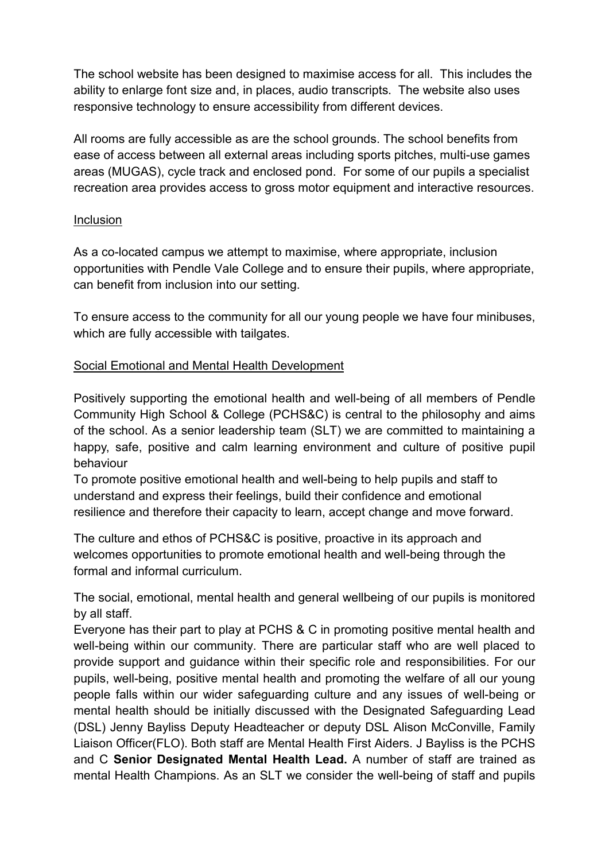The school website has been designed to maximise access for all. This includes the ability to enlarge font size and, in places, audio transcripts. The website also uses responsive technology to ensure accessibility from different devices.

All rooms are fully accessible as are the school grounds. The school benefits from ease of access between all external areas including sports pitches, multi-use games areas (MUGAS), cycle track and enclosed pond. For some of our pupils a specialist recreation area provides access to gross motor equipment and interactive resources.

### Inclusion

As a co-located campus we attempt to maximise, where appropriate, inclusion opportunities with Pendle Vale College and to ensure their pupils, where appropriate, can benefit from inclusion into our setting.

To ensure access to the community for all our young people we have four minibuses, which are fully accessible with tailgates.

#### Social Emotional and Mental Health Development

Positively supporting the emotional health and well-being of all members of Pendle Community High School & College (PCHS&C) is central to the philosophy and aims of the school. As a senior leadership team (SLT) we are committed to maintaining a happy, safe, positive and calm learning environment and culture of positive pupil behaviour

To promote positive emotional health and well-being to help pupils and staff to understand and express their feelings, build their confidence and emotional resilience and therefore their capacity to learn, accept change and move forward.

The culture and ethos of PCHS&C is positive, proactive in its approach and welcomes opportunities to promote emotional health and well-being through the formal and informal curriculum.

The social, emotional, mental health and general wellbeing of our pupils is monitored by all staff.

Everyone has their part to play at PCHS & C in promoting positive mental health and well-being within our community. There are particular staff who are well placed to provide support and guidance within their specific role and responsibilities. For our pupils, well-being, positive mental health and promoting the welfare of all our young people falls within our wider safeguarding culture and any issues of well-being or mental health should be initially discussed with the Designated Safeguarding Lead (DSL) Jenny Bayliss Deputy Headteacher or deputy DSL Alison McConville, Family Liaison Officer(FLO). Both staff are Mental Health First Aiders. J Bayliss is the PCHS and C **Senior Designated Mental Health Lead.** A number of staff are trained as mental Health Champions. As an SLT we consider the well-being of staff and pupils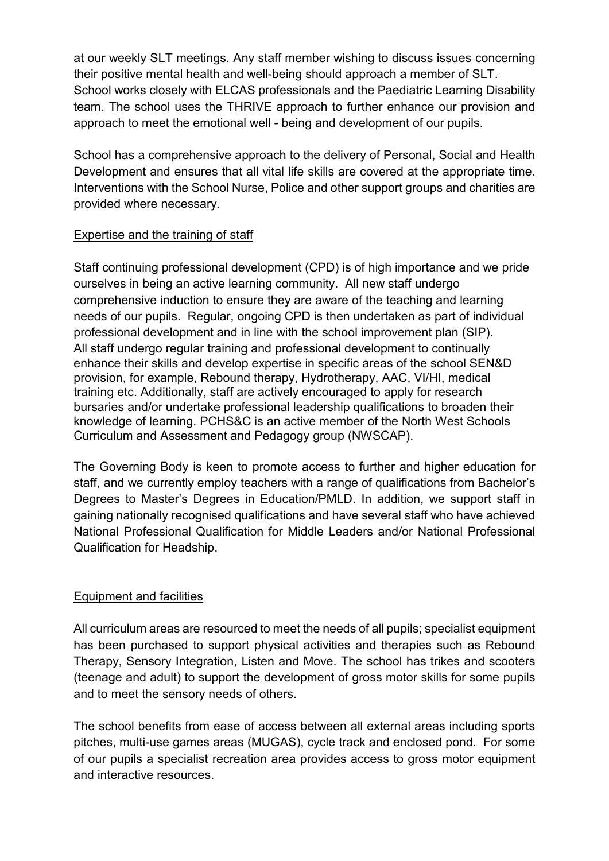at our weekly SLT meetings. Any staff member wishing to discuss issues concerning their positive mental health and well-being should approach a member of SLT. School works closely with ELCAS professionals and the Paediatric Learning Disability team. The school uses the THRIVE approach to further enhance our provision and approach to meet the emotional well - being and development of our pupils.

School has a comprehensive approach to the delivery of Personal, Social and Health Development and ensures that all vital life skills are covered at the appropriate time. Interventions with the School Nurse, Police and other support groups and charities are provided where necessary.

#### Expertise and the training of staff

Staff continuing professional development (CPD) is of high importance and we pride ourselves in being an active learning community. All new staff undergo comprehensive induction to ensure they are aware of the teaching and learning needs of our pupils. Regular, ongoing CPD is then undertaken as part of individual professional development and in line with the school improvement plan (SIP). All staff undergo regular training and professional development to continually enhance their skills and develop expertise in specific areas of the school SEN&D provision, for example, Rebound therapy, Hydrotherapy, AAC, VI/HI, medical training etc. Additionally, staff are actively encouraged to apply for research bursaries and/or undertake professional leadership qualifications to broaden their knowledge of learning. PCHS&C is an active member of the North West Schools Curriculum and Assessment and Pedagogy group (NWSCAP).

The Governing Body is keen to promote access to further and higher education for staff, and we currently employ teachers with a range of qualifications from Bachelor's Degrees to Master's Degrees in Education/PMLD. In addition, we support staff in gaining nationally recognised qualifications and have several staff who have achieved National Professional Qualification for Middle Leaders and/or National Professional Qualification for Headship.

## Equipment and facilities

All curriculum areas are resourced to meet the needs of all pupils; specialist equipment has been purchased to support physical activities and therapies such as Rebound Therapy, Sensory Integration, Listen and Move. The school has trikes and scooters (teenage and adult) to support the development of gross motor skills for some pupils and to meet the sensory needs of others.

The school benefits from ease of access between all external areas including sports pitches, multi-use games areas (MUGAS), cycle track and enclosed pond. For some of our pupils a specialist recreation area provides access to gross motor equipment and interactive resources.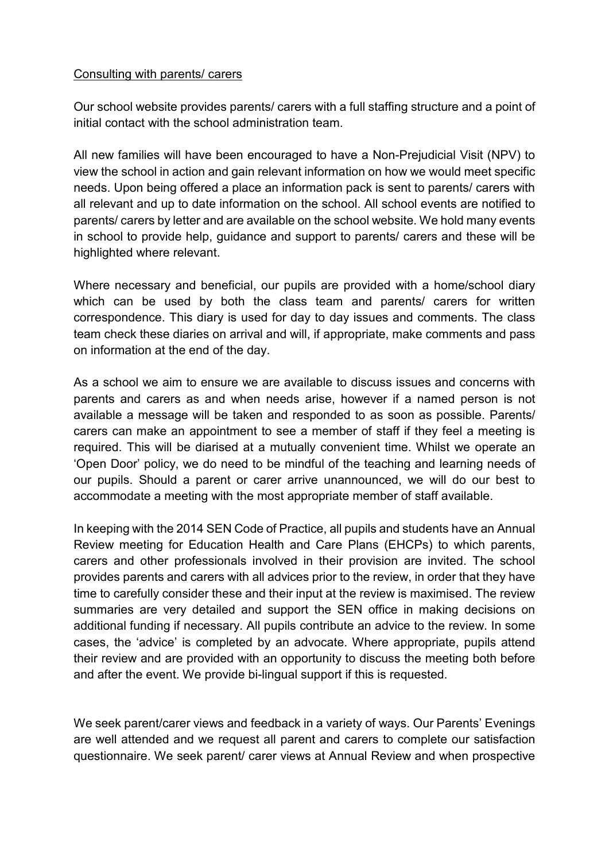#### Consulting with parents/ carers

Our school website provides parents/ carers with a full staffing structure and a point of initial contact with the school administration team.

All new families will have been encouraged to have a Non-Prejudicial Visit (NPV) to view the school in action and gain relevant information on how we would meet specific needs. Upon being offered a place an information pack is sent to parents/ carers with all relevant and up to date information on the school. All school events are notified to parents/ carers by letter and are available on the school website. We hold many events in school to provide help, guidance and support to parents/ carers and these will be highlighted where relevant.

Where necessary and beneficial, our pupils are provided with a home/school diary which can be used by both the class team and parents/ carers for written correspondence. This diary is used for day to day issues and comments. The class team check these diaries on arrival and will, if appropriate, make comments and pass on information at the end of the day.

As a school we aim to ensure we are available to discuss issues and concerns with parents and carers as and when needs arise, however if a named person is not available a message will be taken and responded to as soon as possible. Parents/ carers can make an appointment to see a member of staff if they feel a meeting is required. This will be diarised at a mutually convenient time. Whilst we operate an 'Open Door' policy, we do need to be mindful of the teaching and learning needs of our pupils. Should a parent or carer arrive unannounced, we will do our best to accommodate a meeting with the most appropriate member of staff available.

In keeping with the 2014 SEN Code of Practice, all pupils and students have an Annual Review meeting for Education Health and Care Plans (EHCPs) to which parents, carers and other professionals involved in their provision are invited. The school provides parents and carers with all advices prior to the review, in order that they have time to carefully consider these and their input at the review is maximised. The review summaries are very detailed and support the SEN office in making decisions on additional funding if necessary. All pupils contribute an advice to the review. In some cases, the 'advice' is completed by an advocate. Where appropriate, pupils attend their review and are provided with an opportunity to discuss the meeting both before and after the event. We provide bi-lingual support if this is requested.

We seek parent/carer views and feedback in a variety of ways. Our Parents' Evenings are well attended and we request all parent and carers to complete our satisfaction questionnaire. We seek parent/ carer views at Annual Review and when prospective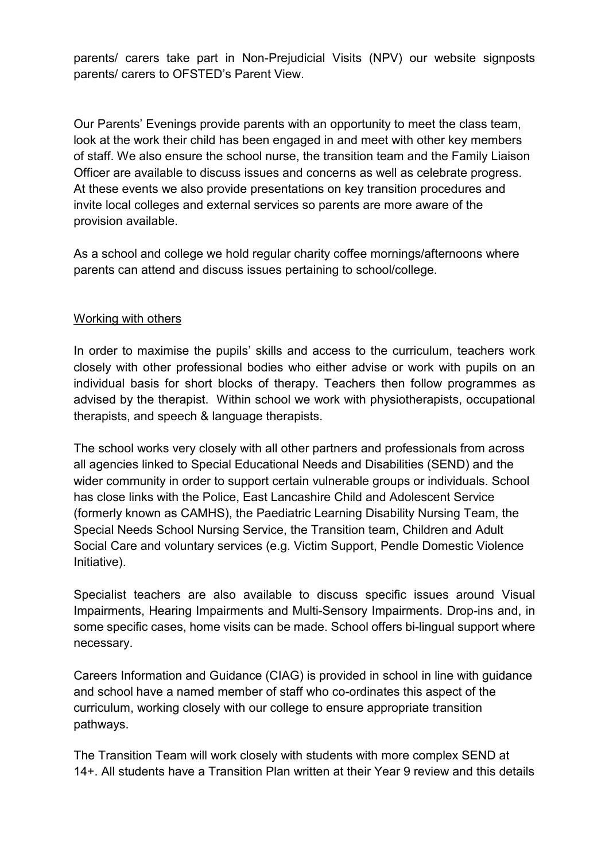parents/ carers take part in Non-Prejudicial Visits (NPV) our website signposts parents/ carers to OFSTED's Parent View.

Our Parents' Evenings provide parents with an opportunity to meet the class team, look at the work their child has been engaged in and meet with other key members of staff. We also ensure the school nurse, the transition team and the Family Liaison Officer are available to discuss issues and concerns as well as celebrate progress. At these events we also provide presentations on key transition procedures and invite local colleges and external services so parents are more aware of the provision available.

As a school and college we hold regular charity coffee mornings/afternoons where parents can attend and discuss issues pertaining to school/college.

## Working with others

In order to maximise the pupils' skills and access to the curriculum, teachers work closely with other professional bodies who either advise or work with pupils on an individual basis for short blocks of therapy. Teachers then follow programmes as advised by the therapist. Within school we work with physiotherapists, occupational therapists, and speech & language therapists.

The school works very closely with all other partners and professionals from across all agencies linked to Special Educational Needs and Disabilities (SEND) and the wider community in order to support certain vulnerable groups or individuals. School has close links with the Police, East Lancashire Child and Adolescent Service (formerly known as CAMHS), the Paediatric Learning Disability Nursing Team, the Special Needs School Nursing Service, the Transition team, Children and Adult Social Care and voluntary services (e.g. Victim Support, Pendle Domestic Violence Initiative).

Specialist teachers are also available to discuss specific issues around Visual Impairments, Hearing Impairments and Multi-Sensory Impairments. Drop-ins and, in some specific cases, home visits can be made. School offers bi-lingual support where necessary.

Careers Information and Guidance (CIAG) is provided in school in line with guidance and school have a named member of staff who co-ordinates this aspect of the curriculum, working closely with our college to ensure appropriate transition pathways.

The Transition Team will work closely with students with more complex SEND at 14+. All students have a Transition Plan written at their Year 9 review and this details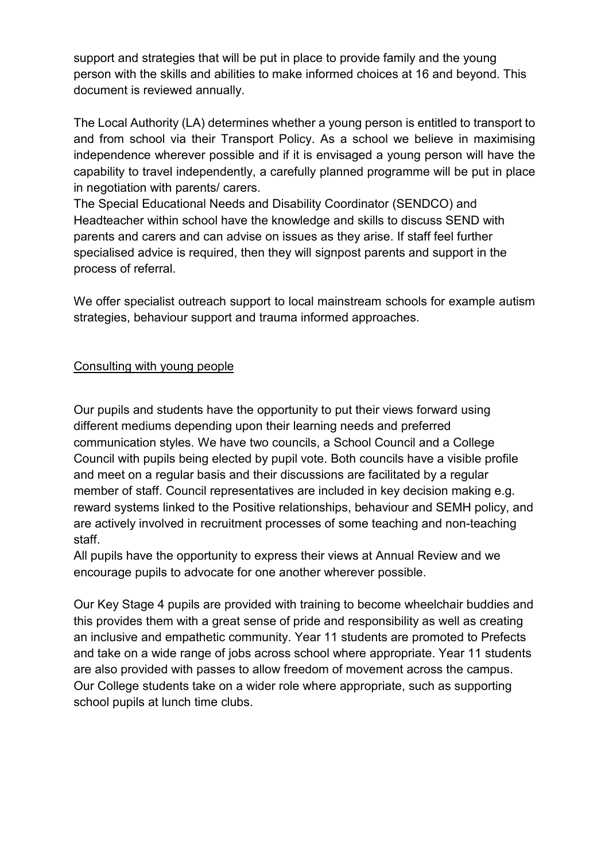support and strategies that will be put in place to provide family and the young person with the skills and abilities to make informed choices at 16 and beyond. This document is reviewed annually.

The Local Authority (LA) determines whether a young person is entitled to transport to and from school via their Transport Policy. As a school we believe in maximising independence wherever possible and if it is envisaged a young person will have the capability to travel independently, a carefully planned programme will be put in place in negotiation with parents/ carers.

The Special Educational Needs and Disability Coordinator (SENDCO) and Headteacher within school have the knowledge and skills to discuss SEND with parents and carers and can advise on issues as they arise. If staff feel further specialised advice is required, then they will signpost parents and support in the process of referral.

We offer specialist outreach support to local mainstream schools for example autism strategies, behaviour support and trauma informed approaches.

## Consulting with young people

Our pupils and students have the opportunity to put their views forward using different mediums depending upon their learning needs and preferred communication styles. We have two councils, a School Council and a College Council with pupils being elected by pupil vote. Both councils have a visible profile and meet on a regular basis and their discussions are facilitated by a regular member of staff. Council representatives are included in key decision making e.g. reward systems linked to the Positive relationships, behaviour and SEMH policy, and are actively involved in recruitment processes of some teaching and non-teaching staff.

All pupils have the opportunity to express their views at Annual Review and we encourage pupils to advocate for one another wherever possible.

Our Key Stage 4 pupils are provided with training to become wheelchair buddies and this provides them with a great sense of pride and responsibility as well as creating an inclusive and empathetic community. Year 11 students are promoted to Prefects and take on a wide range of jobs across school where appropriate. Year 11 students are also provided with passes to allow freedom of movement across the campus. Our College students take on a wider role where appropriate, such as supporting school pupils at lunch time clubs.